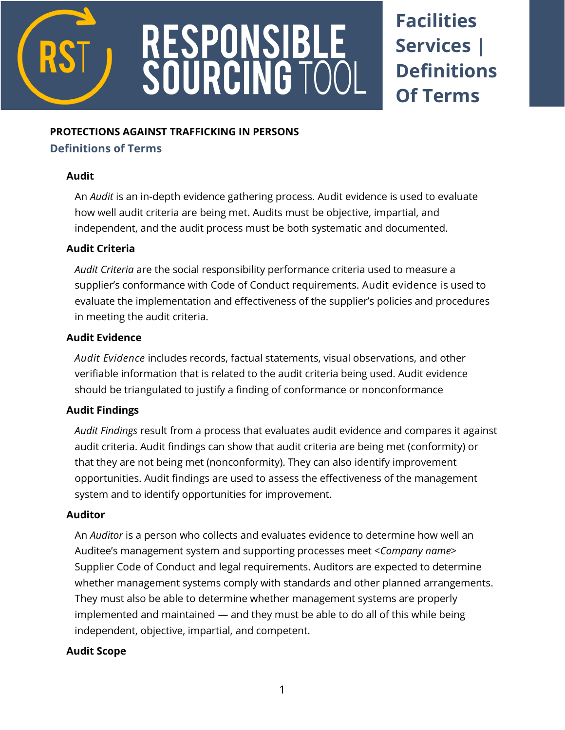

# RESPONSIBLE<br>SOURCING TOC

# **Facilities Services | Definitions Of Terms**

### **PROTECTIONS AGAINST TRAFFICKING IN PERSONS**

# **Definitions of Terms**

# **Audit**

An *Audit* is an in-depth evidence gathering process. Audit evidence is used to evaluate how well audit criteria are being met. Audits must be objective, impartial, and independent, and the audit process must be both systematic and documented.

# **Audit Criteria**

*Audit Criteria* are the social responsibility performance criteria used to measure a supplier's conformance with Code of Conduct requirements. Audit evidence is used to evaluate the implementation and effectiveness of the supplier's policies and procedures in meeting the audit criteria.

# **Audit Evidence**

*Audit Evidence* includes records, factual statements, visual observations, and other verifiable information that is related to the audit criteria being used. Audit evidence should be triangulated to justify a finding of conformance or nonconformance

# **Audit Findings**

*Audit Findings* result from a process that evaluates audit evidence and compares it against audit criteria. Audit findings can show that audit criteria are being met (conformity) or that they are not being met (nonconformity). They can also identify improvement opportunities. Audit findings are used to assess the effectiveness of the management system and to identify opportunities for improvement.

# **Auditor**

An *Auditor* is a person who collects and evaluates evidence to determine how well an Auditee's management system and supporting processes meet <*Company name*> Supplier Code of Conduct and legal requirements. Auditors are expected to determine whether management systems comply with standards and other planned arrangements. They must also be able to determine whether management systems are properly implemented and maintained — and they must be able to do all of this while being independent, objective, impartial, and competent.

# **Audit Scope**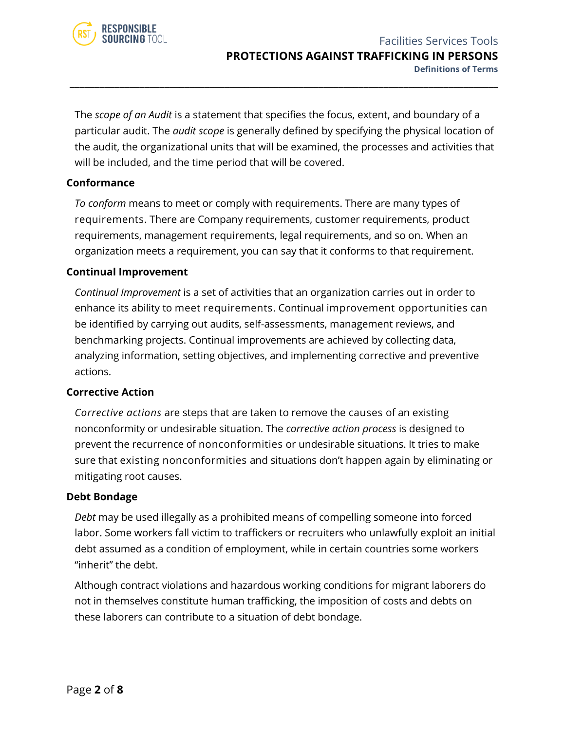

The *scope of an Audit* is a statement that specifies the focus, extent, and boundary of a particular audit. The *audit scope* is generally defined by specifying the physical location of the audit, the organizational units that will be examined, the processes and activities that will be included, and the time period that will be covered.

\_\_\_\_\_\_\_\_\_\_\_\_\_\_\_\_\_\_\_\_\_\_\_\_\_\_\_\_\_\_\_\_\_\_\_\_\_\_\_\_\_\_\_\_\_\_\_\_\_\_\_\_\_\_\_\_\_\_\_\_\_\_\_\_\_\_\_\_\_\_\_\_\_\_\_\_\_\_\_\_\_\_\_\_\_\_

#### **Conformance**

*To conform* means to meet or comply with requirements. There are many types of requirements. There are Company requirements, customer requirements, product requirements, management requirements, legal requirements, and so on. When an organization meets a requirement, you can say that it conforms to that requirement.

#### **Continual Improvement**

*Continual Improvement* is a set of activities that an organization carries out in order to enhance its ability to meet requirements. Continual improvement opportunities can be identified by carrying out audits, self-assessments, management reviews, and benchmarking projects. Continual improvements are achieved by collecting data, analyzing information, setting objectives, and implementing corrective and preventive actions.

#### **Corrective Action**

*Corrective actions* are steps that are taken to remove the causes of an existing nonconformity or undesirable situation. The *corrective action process* is designed to prevent the recurrence of nonconformities or undesirable situations. It tries to make sure that existing nonconformities and situations don't happen again by eliminating or mitigating root causes.

#### **Debt Bondage**

*Debt* may be used illegally as a prohibited means of compelling someone into forced labor. Some workers fall victim to traffickers or recruiters who unlawfully exploit an initial debt assumed as a condition of employment, while in certain countries some workers "inherit" the debt.

Although contract violations and hazardous working conditions for migrant laborers do not in themselves constitute human trafficking, the imposition of costs and debts on these laborers can contribute to a situation of debt bondage.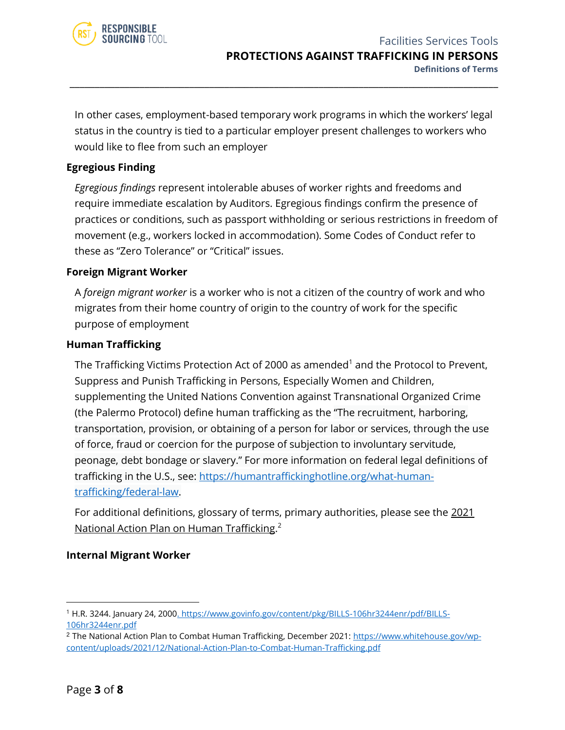

In other cases, employment-based temporary work programs in which the workers' legal status in the country is tied to a particular employer present challenges to workers who would like to flee from such an employer

\_\_\_\_\_\_\_\_\_\_\_\_\_\_\_\_\_\_\_\_\_\_\_\_\_\_\_\_\_\_\_\_\_\_\_\_\_\_\_\_\_\_\_\_\_\_\_\_\_\_\_\_\_\_\_\_\_\_\_\_\_\_\_\_\_\_\_\_\_\_\_\_\_\_\_\_\_\_\_\_\_\_\_\_\_\_

#### **Egregious Finding**

*Egregious findings* represent intolerable abuses of worker rights and freedoms and require immediate escalation by Auditors. Egregious findings confirm the presence of practices or conditions, such as passport withholding or serious restrictions in freedom of movement (e.g., workers locked in accommodation). Some Codes of Conduct refer to these as "Zero Tolerance" or "Critical" issues.

#### **Foreign Migrant Worker**

A *foreign migrant worker* is a worker who is not a citizen of the country of work and who migrates from their home country of origin to the country of work for the specific purpose of employment

#### **Human Trafficking**

The Trafficking Victims Protection Act of 2000 as amended<sup>1</sup> and the Protocol to Prevent, Suppress and Punish Trafficking in Persons, Especially Women and Children, supplementing the United Nations Convention against Transnational Organized Crime (the Palermo Protocol) define human trafficking as the "The recruitment, harboring, transportation, provision, or obtaining of a person for labor or services, through the use of force, fraud or coercion for the purpose of subjection to involuntary servitude, peonage, debt bondage or slavery." For more information on federal legal definitions of trafficking in the U.S., see: [https://humantraffickinghotline.org/what-human](https://humantraffickinghotline.org/what-human-trafficking/federal-law)[trafficking/federal-law.](https://humantraffickinghotline.org/what-human-trafficking/federal-law)

For additional definitions, glossary of terms, primary authorities, please see the 2021 National Action Plan on Human Trafficking. 2

#### **Internal Migrant Worker**

<sup>1</sup> H.R. 3244. January 24, 200[0. https://www.govinfo.gov/content/pkg/BILLS-106hr3244enr/pdf/BILLS-](file://///SharePoint/SharePoint/Research/Government%20&%20IO/USJTIP/7%20Responsible%20Sourcing%20Tool%20Sept%202016-2022/19.%2020221-22%20Ext%20Updates%20Refresh/5%20Facilities%20Serv%20Tools/1.%20Final/.%20https:/www.govinfo.gov/content/pkg/BILLS-106hr3244enr/pdf/BILLS-106hr3244enr.pdf)[106hr3244enr.pdf](file://///SharePoint/SharePoint/Research/Government%20&%20IO/USJTIP/7%20Responsible%20Sourcing%20Tool%20Sept%202016-2022/19.%2020221-22%20Ext%20Updates%20Refresh/5%20Facilities%20Serv%20Tools/1.%20Final/.%20https:/www.govinfo.gov/content/pkg/BILLS-106hr3244enr/pdf/BILLS-106hr3244enr.pdf)

<sup>&</sup>lt;sup>2</sup> The National Action Plan to Combat Human Trafficking, December 2021: [https://www.whitehouse.gov/wp](https://www.whitehouse.gov/wp-content/uploads/2021/12/National-Action-Plan-to-Combat-Human-Trafficking.pdf)[content/uploads/2021/12/National-Action-Plan-to-Combat-Human-Trafficking.pdf](https://www.whitehouse.gov/wp-content/uploads/2021/12/National-Action-Plan-to-Combat-Human-Trafficking.pdf)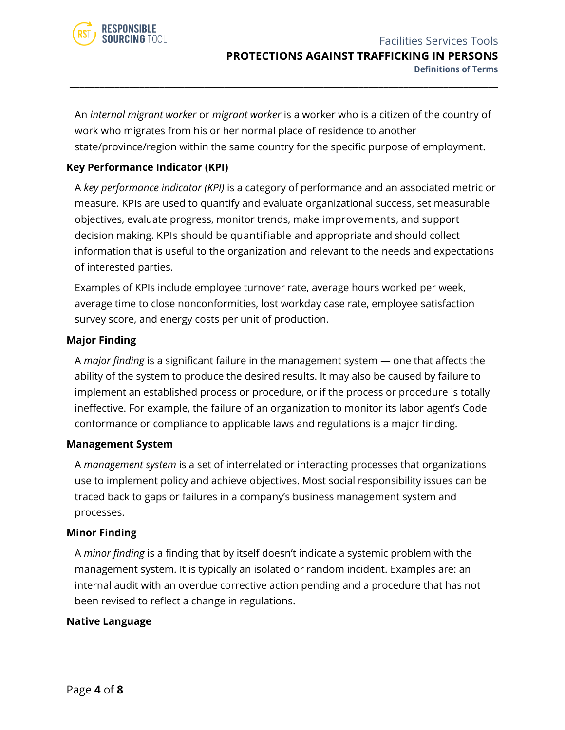

An *internal migrant worker* or *migrant worker* is a worker who is a citizen of the country of work who migrates from his or her normal place of residence to another state/province/region within the same country for the specific purpose of employment.

\_\_\_\_\_\_\_\_\_\_\_\_\_\_\_\_\_\_\_\_\_\_\_\_\_\_\_\_\_\_\_\_\_\_\_\_\_\_\_\_\_\_\_\_\_\_\_\_\_\_\_\_\_\_\_\_\_\_\_\_\_\_\_\_\_\_\_\_\_\_\_\_\_\_\_\_\_\_\_\_\_\_\_\_\_\_

#### **Key Performance Indicator (KPI)**

A *key performance indicator (KPI)* is a category of performance and an associated metric or measure. KPIs are used to quantify and evaluate organizational success, set measurable objectives, evaluate progress, monitor trends, make improvements, and support decision making. KPIs should be quantifiable and appropriate and should collect information that is useful to the organization and relevant to the needs and expectations of interested parties.

Examples of KPIs include employee turnover rate, average hours worked per week, average time to close nonconformities, lost workday case rate, employee satisfaction survey score, and energy costs per unit of production.

#### **Major Finding**

A *major finding* is a significant failure in the management system — one that affects the ability of the system to produce the desired results. It may also be caused by failure to implement an established process or procedure, or if the process or procedure is totally ineffective. For example, the failure of an organization to monitor its labor agent's Code conformance or compliance to applicable laws and regulations is a major finding.

#### **Management System**

A *management system* is a set of interrelated or interacting processes that organizations use to implement policy and achieve objectives. Most social responsibility issues can be traced back to gaps or failures in a company's business management system and processes.

#### **Minor Finding**

A *minor finding* is a finding that by itself doesn't indicate a systemic problem with the management system. It is typically an isolated or random incident. Examples are: an internal audit with an overdue corrective action pending and a procedure that has not been revised to reflect a change in regulations.

#### **Native Language**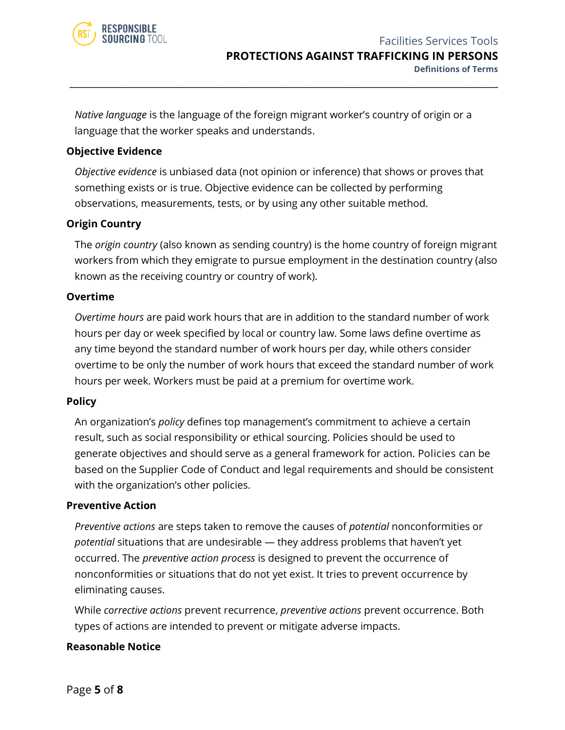

*Native language* is the language of the foreign migrant worker's country of origin or a language that the worker speaks and understands.

\_\_\_\_\_\_\_\_\_\_\_\_\_\_\_\_\_\_\_\_\_\_\_\_\_\_\_\_\_\_\_\_\_\_\_\_\_\_\_\_\_\_\_\_\_\_\_\_\_\_\_\_\_\_\_\_\_\_\_\_\_\_\_\_\_\_\_\_\_\_\_\_\_\_\_\_\_\_\_\_\_\_\_\_\_\_

#### **Objective Evidence**

*Objective evidence* is unbiased data (not opinion or inference) that shows or proves that something exists or is true. Objective evidence can be collected by performing observations, measurements, tests, or by using any other suitable method.

#### **Origin Country**

The *origin country* (also known as sending country) is the home country of foreign migrant workers from which they emigrate to pursue employment in the destination country (also known as the receiving country or country of work).

#### **Overtime**

*Overtime hours* are paid work hours that are in addition to the standard number of work hours per day or week specified by local or country law. Some laws define overtime as any time beyond the standard number of work hours per day, while others consider overtime to be only the number of work hours that exceed the standard number of work hours per week. Workers must be paid at a premium for overtime work.

#### **Policy**

An organization's *policy* defines top management's commitment to achieve a certain result, such as social responsibility or ethical sourcing. Policies should be used to generate objectives and should serve as a general framework for action. Policies can be based on the Supplier Code of Conduct and legal requirements and should be consistent with the organization's other policies.

#### **Preventive Action**

*Preventive actions* are steps taken to remove the causes of *potential* nonconformities or *potential* situations that are undesirable — they address problems that haven't yet occurred. The *preventive action process* is designed to prevent the occurrence of nonconformities or situations that do not yet exist. It tries to prevent occurrence by eliminating causes.

While *corrective actions* prevent recurrence, *preventive actions* prevent occurrence. Both types of actions are intended to prevent or mitigate adverse impacts.

#### **Reasonable Notice**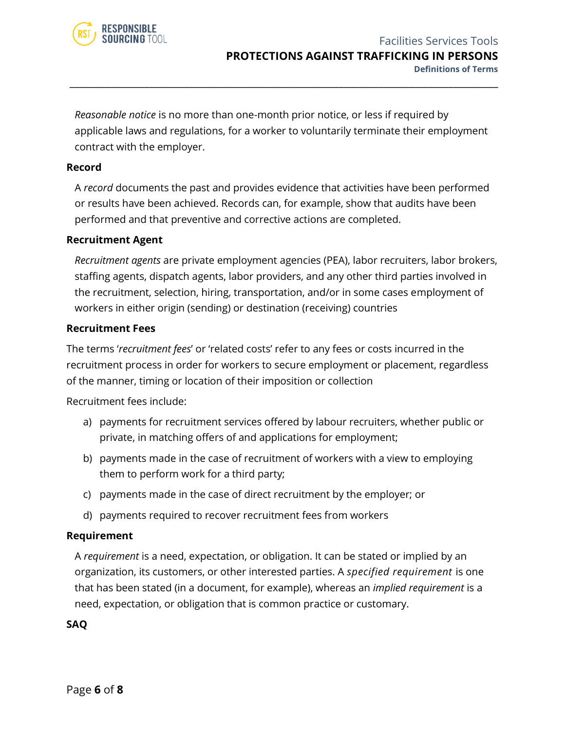

*Reasonable notice* is no more than one-month prior notice, or less if required by applicable laws and regulations, for a worker to voluntarily terminate their employment contract with the employer.

\_\_\_\_\_\_\_\_\_\_\_\_\_\_\_\_\_\_\_\_\_\_\_\_\_\_\_\_\_\_\_\_\_\_\_\_\_\_\_\_\_\_\_\_\_\_\_\_\_\_\_\_\_\_\_\_\_\_\_\_\_\_\_\_\_\_\_\_\_\_\_\_\_\_\_\_\_\_\_\_\_\_\_\_\_\_

#### **Record**

A *record* documents the past and provides evidence that activities have been performed or results have been achieved. Records can, for example, show that audits have been performed and that preventive and corrective actions are completed.

#### **Recruitment Agent**

*Recruitment agents* are private employment agencies (PEA), labor recruiters, labor brokers, staffing agents, dispatch agents, labor providers, and any other third parties involved in the recruitment, selection, hiring, transportation, and/or in some cases employment of workers in either origin (sending) or destination (receiving) countries

#### **Recruitment Fees**

The terms '*recruitment fees*' or 'related costs' refer to any fees or costs incurred in the recruitment process in order for workers to secure employment or placement, regardless of the manner, timing or location of their imposition or collection

Recruitment fees include:

- a) payments for recruitment services offered by labour recruiters, whether public or private, in matching offers of and applications for employment;
- b) payments made in the case of recruitment of workers with a view to employing them to perform work for a third party;
- c) payments made in the case of direct recruitment by the employer; or
- d) payments required to recover recruitment fees from workers

#### **Requirement**

A *requirement* is a need, expectation, or obligation. It can be stated or implied by an organization, its customers, or other interested parties. A *specified requirement* is one that has been stated (in a document, for example), whereas an *implied requirement* is a need, expectation, or obligation that is common practice or customary.

#### **SAQ**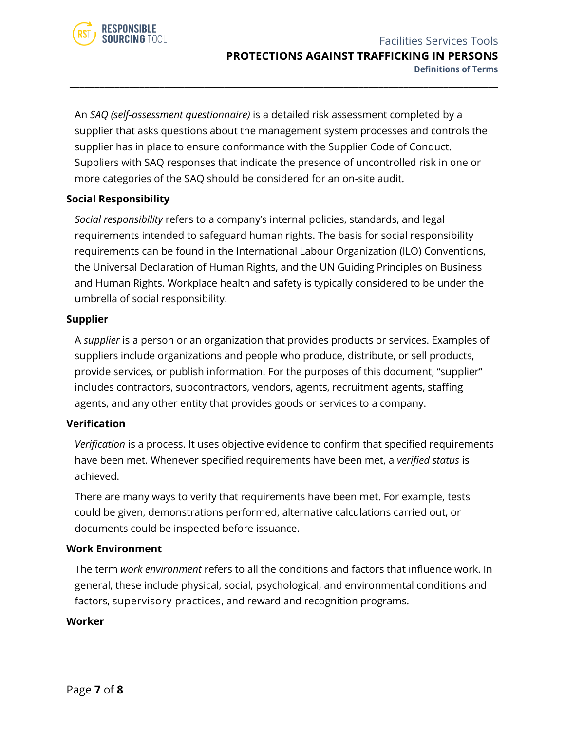

An *SAQ (self-assessment questionnaire)* is a detailed risk assessment completed by a supplier that asks questions about the management system processes and controls the supplier has in place to ensure conformance with the Supplier Code of Conduct. Suppliers with SAQ responses that indicate the presence of uncontrolled risk in one or more categories of the SAQ should be considered for an on-site audit.

\_\_\_\_\_\_\_\_\_\_\_\_\_\_\_\_\_\_\_\_\_\_\_\_\_\_\_\_\_\_\_\_\_\_\_\_\_\_\_\_\_\_\_\_\_\_\_\_\_\_\_\_\_\_\_\_\_\_\_\_\_\_\_\_\_\_\_\_\_\_\_\_\_\_\_\_\_\_\_\_\_\_\_\_\_\_

#### **Social Responsibility**

*Social responsibility* refers to a company's internal policies, standards, and legal requirements intended to safeguard human rights. The basis for social responsibility requirements can be found in the International Labour Organization (ILO) Conventions, the Universal Declaration of Human Rights, and the UN Guiding Principles on Business and Human Rights. Workplace health and safety is typically considered to be under the umbrella of social responsibility.

#### **Supplier**

A *supplier* is a person or an organization that provides products or services. Examples of suppliers include organizations and people who produce, distribute, or sell products, provide services, or publish information. For the purposes of this document, "supplier" includes contractors, subcontractors, vendors, agents, recruitment agents, staffing agents, and any other entity that provides goods or services to a company.

#### **Verification**

*Verification* is a process. It uses objective evidence to confirm that specified requirements have been met. Whenever specified requirements have been met, a *verified status* is achieved.

There are many ways to verify that requirements have been met. For example, tests could be given, demonstrations performed, alternative calculations carried out, or documents could be inspected before issuance.

#### **Work Environment**

The term *work environment* refers to all the conditions and factors that influence work. In general, these include physical, social, psychological, and environmental conditions and factors, supervisory practices, and reward and recognition programs.

#### **Worker**